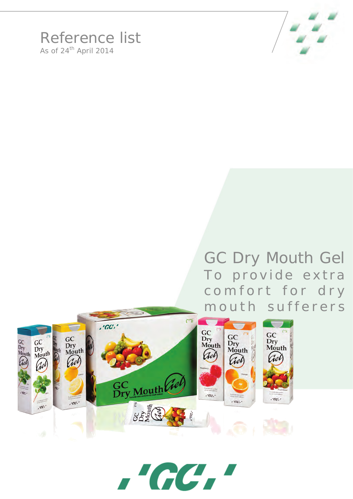

## Reference list As of  $24<sup>th</sup>$  April 2014

## GC Dry Mouth Gel To provide extra comfort for dry mouth sufferers